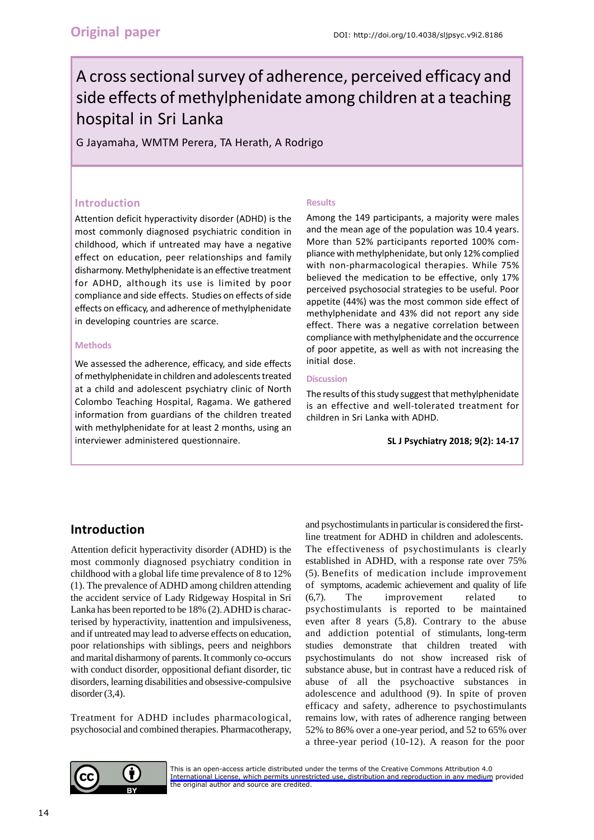# A cross sectional survey of adherence, perceived efficacy and side effects of methylphenidate among children at a teaching hospital in Sri Lanka

G Jayamaha, WMTM Perera, TA Herath, A Rodrigo

### **Introduction**

Attention deficit hyperactivity disorder (ADHD) is the most commonly diagnosed psychiatric condition in childhood, which if untreated may have a negative effect on education, peer relationships and family disharmony. Methylphenidate is an effective treatment for ADHD, although its use is limited by poor compliance and side effects. Studies on effects of side effects on efficacy, and adherence of methylphenidate in developing countries are scarce.

#### **Methods**

We assessed the adherence, efficacy, and side effects of methylphenidate in children and adolescents treated at a child and adolescent psychiatry clinic of North Colombo Teaching Hospital, Ragama. We gathered information from guardians of the children treated with methylphenidate for at least 2 months, using an interviewer administered questionnaire.

#### **Results**

Among the 149 participants, a majority were males and the mean age of the population was 10.4 years. More than 52% participants reported 100% compliance with methylphenidate, but only 12% complied with non-pharmacological therapies. While 75% believed the medication to be effective, only 17% perceived psychosocial strategies to be useful. Poor appetite (44%) was the most common side effect of methylphenidate and 43% did not report any side effect. There was a negative correlation between compliance with methylphenidate and the occurrence of poor appetite, as well as with not increasing the initial dose.

#### **Discussion**

The results of this study suggest that methylphenidate is an effective and well-tolerated treatment for children in Sri Lanka with ADHD.

**SL J Psychiatry 2018; 9(2): 14-17**

# **Introduction**

Attention deficit hyperactivity disorder (ADHD) is the most commonly diagnosed psychiatry condition in childhood with a global life time prevalence of 8 to 12% (1). The prevalence of ADHD among children attending the accident service of Lady Ridgeway Hospital in Sri Lanka has been reported to be 18% (2). ADHD is characterised by hyperactivity, inattention and impulsiveness, and if untreated may lead to adverse effects on education, poor relationships with siblings, peers and neighbors and marital disharmony of parents. It commonly co-occurs with conduct disorder, oppositional defiant disorder, tic disorders, learning disabilities and obsessive-compulsive disorder  $(3,4)$ .

Treatment for ADHD includes pharmacological, psychosocial and combined therapies. Pharmacotherapy, and psychostimulants in particular is considered the firstline treatment for ADHD in children and adolescents.

The effectiveness of psychostimulants is clearly established in ADHD, with a response rate over 75% (5). Benefits of medication include improvement of symptoms, academic achievement and quality of life (6,7). The improvement related to psychostimulants is reported to be maintained even after 8 years (5,8). Contrary to the abuse and addiction potential of stimulants, long-term studies demonstrate that children treated with psychostimulants do not show increased risk of substance abuse, but in contrast have a reduced risk of abuse of all the psychoactive substances in adolescence and adulthood (9). In spite of proven efficacy and safety, adherence to psychostimulants remains low, with rates of adherence ranging between 52% to 86% over a one-year period, and 52 to 65% over a three-year period (10-12). A reason for the poor



[This is an open-access article distributed under the terms of the Creative Commons Attribution 4.0](https://creativecommons.org/licenses/by/4.0/legalcode) International License, which permits unrestricted use, distribution and reproduction in any medium provided the original author and source are credited.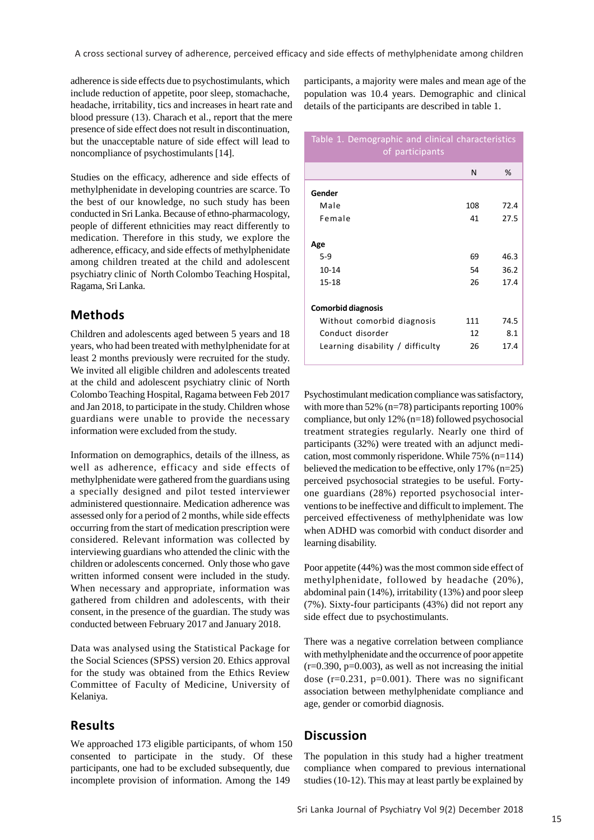adherence is side effects due to psychostimulants, which include reduction of appetite, poor sleep, stomachache, headache, irritability, tics and increases in heart rate and blood pressure (13). Charach et al., report that the mere presence of side effect does not result in discontinuation, but the unacceptable nature of side effect will lead to noncompliance of psychostimulants [14].

Studies on the efficacy, adherence and side effects of methylphenidate in developing countries are scarce. To the best of our knowledge, no such study has been conducted in Sri Lanka. Because of ethno-pharmacology, people of different ethnicities may react differently to medication. Therefore in this study, we explore the adherence, efficacy, and side effects of methylphenidate among children treated at the child and adolescent psychiatry clinic of North Colombo Teaching Hospital, Ragama, Sri Lanka.

## **Methods**

Children and adolescents aged between 5 years and 18 years, who had been treated with methylphenidate for at least 2 months previously were recruited for the study. We invited all eligible children and adolescents treated at the child and adolescent psychiatry clinic of North Colombo Teaching Hospital, Ragama between Feb 2017 and Jan 2018, to participate in the study. Children whose guardians were unable to provide the necessary information were excluded from the study.

Information on demographics, details of the illness, as well as adherence, efficacy and side effects of methylphenidate were gathered from the guardians using a specially designed and pilot tested interviewer administered questionnaire. Medication adherence was assessed only for a period of 2 months, while side effects occurring from the start of medication prescription were considered. Relevant information was collected by interviewing guardians who attended the clinic with the children or adolescents concerned. Only those who gave written informed consent were included in the study. When necessary and appropriate, information was gathered from children and adolescents, with their consent, in the presence of the guardian. The study was conducted between February 2017 and January 2018.

Data was analysed using the Statistical Package for the Social Sciences (SPSS) version 20. Ethics approval for the study was obtained from the Ethics Review Committee of Faculty of Medicine, University of Kelaniya.

## **Results**

We approached 173 eligible participants, of whom 150 consented to participate in the study. Of these participants, one had to be excluded subsequently, due incomplete provision of information. Among the 149

participants, a majority were males and mean age of the population was 10.4 years. Demographic and clinical details of the participants are described in table 1.

#### Table 1. Demographic and clinical characteristics of participants

|                                  | N   | %    |
|----------------------------------|-----|------|
| Gender                           |     |      |
| Male                             | 108 | 72.4 |
| Female                           | 41  | 27.5 |
|                                  |     |      |
| Age                              |     |      |
| $5-9$                            | 69  | 46.3 |
| $10 - 14$                        | 54  | 36.2 |
| 15-18                            | 26  | 17.4 |
|                                  |     |      |
| <b>Comorbid diagnosis</b>        |     |      |
| Without comorbid diagnosis       | 111 | 74.5 |
| Conduct disorder                 | 12  | 8.1  |
| Learning disability / difficulty | 26  | 17.4 |
|                                  |     |      |

Psychostimulant medication compliance was satisfactory, with more than 52% (n=78) participants reporting 100% compliance, but only 12% (n=18) followed psychosocial treatment strategies regularly. Nearly one third of participants (32%) were treated with an adjunct medication, most commonly risperidone. While 75% (n=114) believed the medication to be effective, only 17% (n=25) perceived psychosocial strategies to be useful. Fortyone guardians (28%) reported psychosocial interventions to be ineffective and difficult to implement. The perceived effectiveness of methylphenidate was low when ADHD was comorbid with conduct disorder and learning disability.

Poor appetite (44%) was the most common side effect of methylphenidate, followed by headache (20%), abdominal pain (14%), irritability (13%) and poor sleep (7%). Sixty-four participants (43%) did not report any side effect due to psychostimulants.

There was a negative correlation between compliance with methylphenidate and the occurrence of poor appetite  $(r=0.390, p=0.003)$ , as well as not increasing the initial dose  $(r=0.231, p=0.001)$ . There was no significant association between methylphenidate compliance and age, gender or comorbid diagnosis.

## **Discussion**

The population in this study had a higher treatment compliance when compared to previous international studies (10-12). This may at least partly be explained by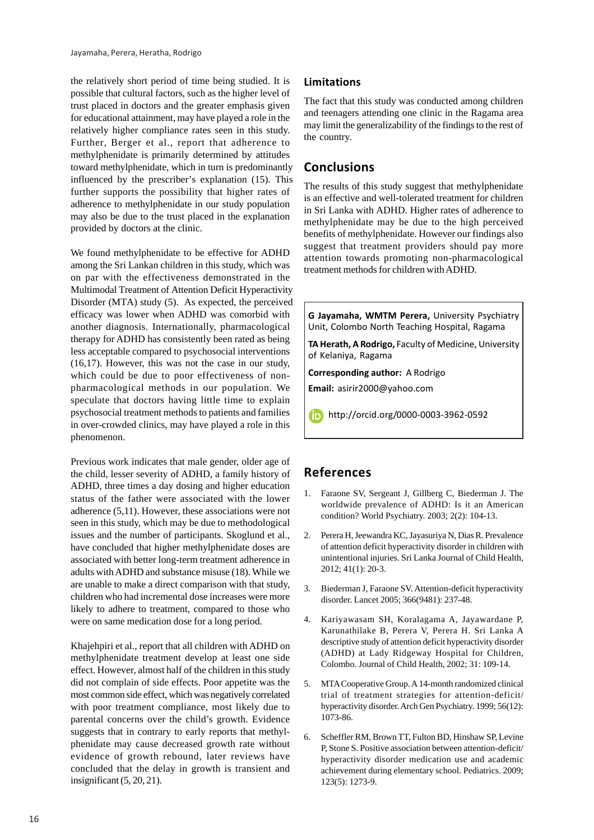the relatively short period of time being studied. It is possible that cultural factors, such as the higher level of trust placed in doctors and the greater emphasis given for educational attainment, may have played a role in the relatively higher compliance rates seen in this study. Further, Berger et al., report that adherence to methylphenidate is primarily determined by attitudes toward methylphenidate, which in turn is predominantly influenced by the prescriber's explanation (15). This further supports the possibility that higher rates of adherence to methylphenidate in our study population may also be due to the trust placed in the explanation provided by doctors at the clinic.

We found methylphenidate to be effective for ADHD among the Sri Lankan children in this study, which was on par with the effectiveness demonstrated in the Multimodal Treatment of Attention Deficit Hyperactivity Disorder (MTA) study (5). As expected, the perceived efficacy was lower when ADHD was comorbid with another diagnosis. Internationally, pharmacological therapy for ADHD has consistently been rated as being less acceptable compared to psychosocial interventions (16,17). However, this was not the case in our study, which could be due to poor effectiveness of nonpharmacological methods in our population. We speculate that doctors having little time to explain psychosocial treatment methods to patients and families in over-crowded clinics, may have played a role in this phenomenon.

Previous work indicates that male gender, older age of the child, lesser severity of ADHD, a family history of ADHD, three times a day dosing and higher education status of the father were associated with the lower adherence (5,11). However, these associations were not seen in this study, which may be due to methodological issues and the number of participants. Skoglund et al., have concluded that higher methylphenidate doses are associated with better long-term treatment adherence in adults with ADHD and substance misuse (18). While we are unable to make a direct comparison with that study, children who had incremental dose increases were more likely to adhere to treatment, compared to those who were on same medication dose for a long period.

Khajehpiri et al., report that all children with ADHD on methylphenidate treatment develop at least one side effect. However, almost half of the children in this study did not complain of side effects. Poor appetite was the most common side effect, which was negatively correlated with poor treatment compliance, most likely due to parental concerns over the child's growth. Evidence suggests that in contrary to early reports that methylphenidate may cause decreased growth rate without evidence of growth rebound, later reviews have concluded that the delay in growth is transient and insignificant (5, 20, 21).

#### **Limitations**

The fact that this study was conducted among children and teenagers attending one clinic in the Ragama area may limit the generalizability of the findings to the rest of the country.

## **Conclusions**

The results of this study suggest that methylphenidate is an effective and well-tolerated treatment for children in Sri Lanka with ADHD. Higher rates of adherence to methylphenidate may be due to the high perceived benefits of methylphenidate. However our findings also suggest that treatment providers should pay more attention towards promoting non-pharmacological treatment methods for children with ADHD.

**G Jayamaha, WMTM Perera,** University Psychiatry Unit, Colombo North Teaching Hospital, Ragama

**TA Herath, A Rodrigo,** Faculty of Medicine, University of Kelaniya, Ragama

**Corresponding author:** A Rodrigo

**Email:** asirir2000@yahoo.com

http://orcid.org/0000-0003-3962-0592

# **References**

- 1. Faraone SV, Sergeant J, Gillberg C, Biederman J. The worldwide prevalence of ADHD: Is it an American condition? World Psychiatry. 2003; 2(2): 104-13.
- 2. Perera H, Jeewandra KC, Jayasuriya N, Dias R. Prevalence of attention deficit hyperactivity disorder in children with unintentional injuries. Sri Lanka Journal of Child Health, 2012; 41(1): 20-3.
- 3. Biederman J, Faraone SV. Attention-deficit hyperactivity disorder. Lancet 2005; 366(9481): 237-48.
- 4. Kariyawasam SH, Koralagama A, Jayawardane P, Karunathilake B, Perera V, Perera H. Sri Lanka A descriptive study of attention deficit hyperactivity disorder (ADHD) at Lady Ridgeway Hospital for Children, Colombo. Journal of Child Health, 2002; 31: 109-14.
- 5. MTA Cooperative Group. A 14-month randomized clinical trial of treatment strategies for attention-deficit/ hyperactivity disorder. Arch Gen Psychiatry. 1999; 56(12): 1073-86.
- 6. Scheffler RM, Brown TT, Fulton BD, Hinshaw SP, Levine P, Stone S. Positive association between attention-deficit/ hyperactivity disorder medication use and academic achievement during elementary school. Pediatrics. 2009; 123(5): 1273-9.